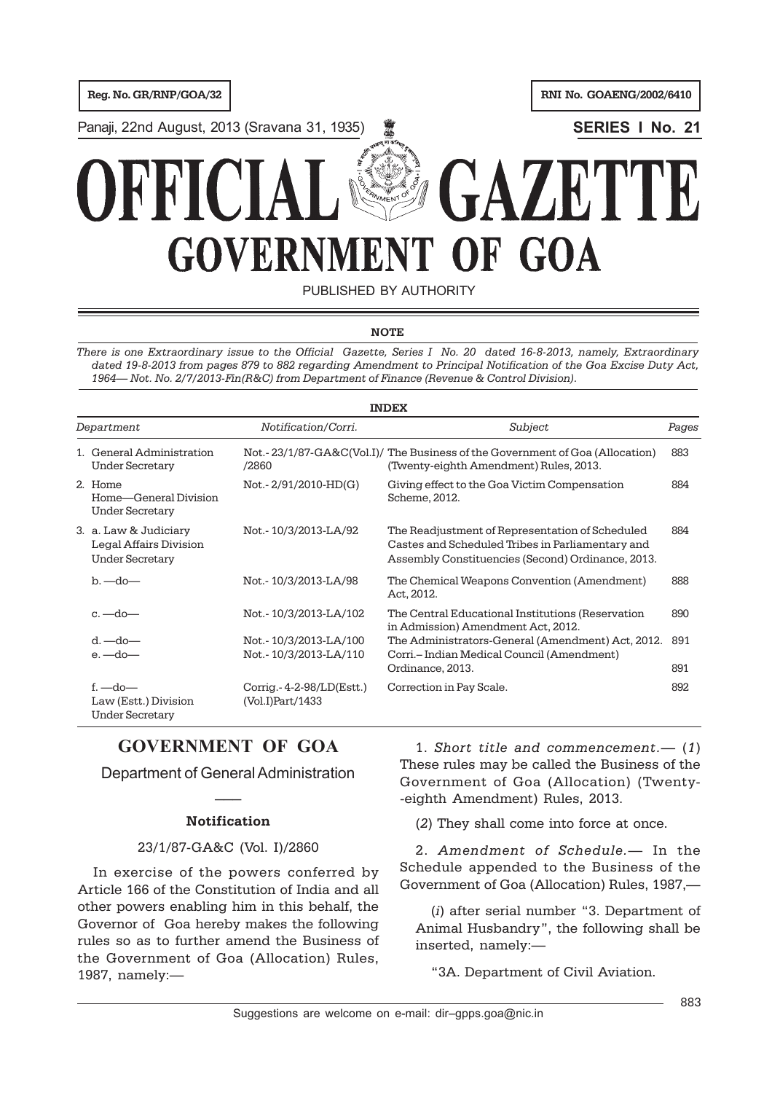**Reg. No. GR/RNP/GOA/32 RNI No. GOAENG/2002/6410** 

Panaji, 22nd August, 2013 (Sravana 31, 1935) **WALLER STERIES I No. 21** 

# **VACT GOVERNMEN** OF GOA VT<sup>.</sup>

PUBLISHED BY AUTHORITY

#### **NOTE**

*There is one Extraordinary issue to the Official Gazette, Series I No. 20 dated 16-8-2013, namely, Extraordinary dated 19-8-2013 from pages 879 to 882 regarding Amendment to Principal Notification of the Goa Excise Duty Act, 1964— Not. No. 2/7/2013-Fin(R&C) from Department of Finance (Revenue & Control Division).*

| <b>INDEX</b> |                                                                           |                                                |                                                                                                                                                          |            |
|--------------|---------------------------------------------------------------------------|------------------------------------------------|----------------------------------------------------------------------------------------------------------------------------------------------------------|------------|
| Department   |                                                                           | Notification/Corri.                            | Subject                                                                                                                                                  | Pages      |
|              | 1. General Administration<br><b>Under Secretary</b>                       | /2860                                          | Not.-23/1/87-GA&C(Vol.I)/ The Business of the Government of Goa (Allocation)<br>(Twenty-eighth Amendment) Rules, 2013.                                   | 883        |
|              | 2. Home<br>Home-General Division<br><b>Under Secretary</b>                | Not.-2/91/2010-HD(G)                           | Giving effect to the Goa Victim Compensation<br>Scheme, 2012.                                                                                            | 884        |
|              | 3. a. Law & Judiciary<br>Legal Affairs Division<br><b>Under Secretary</b> | Not.-10/3/2013-LA/92                           | The Readjustment of Representation of Scheduled<br>Castes and Scheduled Tribes in Parliamentary and<br>Assembly Constituencies (Second) Ordinance, 2013. | 884        |
|              | $b - d_0$                                                                 | Not.-10/3/2013-LA/98                           | The Chemical Weapons Convention (Amendment)<br>Act, 2012.                                                                                                | 888        |
|              | $c.$ —do—                                                                 | Not.-10/3/2013-LA/102                          | The Central Educational Institutions (Reservation<br>in Admission) Amendment Act, 2012.                                                                  | 890        |
|              | $d.$ $-do$ $-$<br>$e.$ $-do$ $-$                                          | Not.-10/3/2013-LA/100<br>Not.-10/3/2013-LA/110 | The Administrators-General (Amendment) Act, 2012.<br>Corri.- Indian Medical Council (Amendment)<br>Ordinance, 2013.                                      | 891<br>891 |
|              | $f - do -$<br>Law (Estt.) Division<br><b>Under Secretary</b>              | Corrig. $-4-2-98/LD(Est.)$<br>(Vol.I)Part/1433 | Correction in Pay Scale.                                                                                                                                 | 892        |

# **GOVERNMENT OF GOA**

Department of General Administration  $\overline{\phantom{a}}$ 

### **Notification**

### 23/1/87-GA&C (Vol. I)/2860

In exercise of the powers conferred by Article 166 of the Constitution of India and all other powers enabling him in this behalf, the Governor of Goa hereby makes the following rules so as to further amend the Business of the Government of Goa (Allocation) Rules, 1987, namely:—

1. *Short title and commencement.*— (*1*) These rules may be called the Business of the Government of Goa (Allocation) (Twenty- -eighth Amendment) Rules, 2013.

(*2*) They shall come into force at once.

2. *Amendment of Schedule.*— In the Schedule appended to the Business of the Government of Goa (Allocation) Rules, 1987,—

(*i*) after serial number "3. Department of Animal Husbandry", the following shall be inserted, namely:—

"3A. Department of Civil Aviation.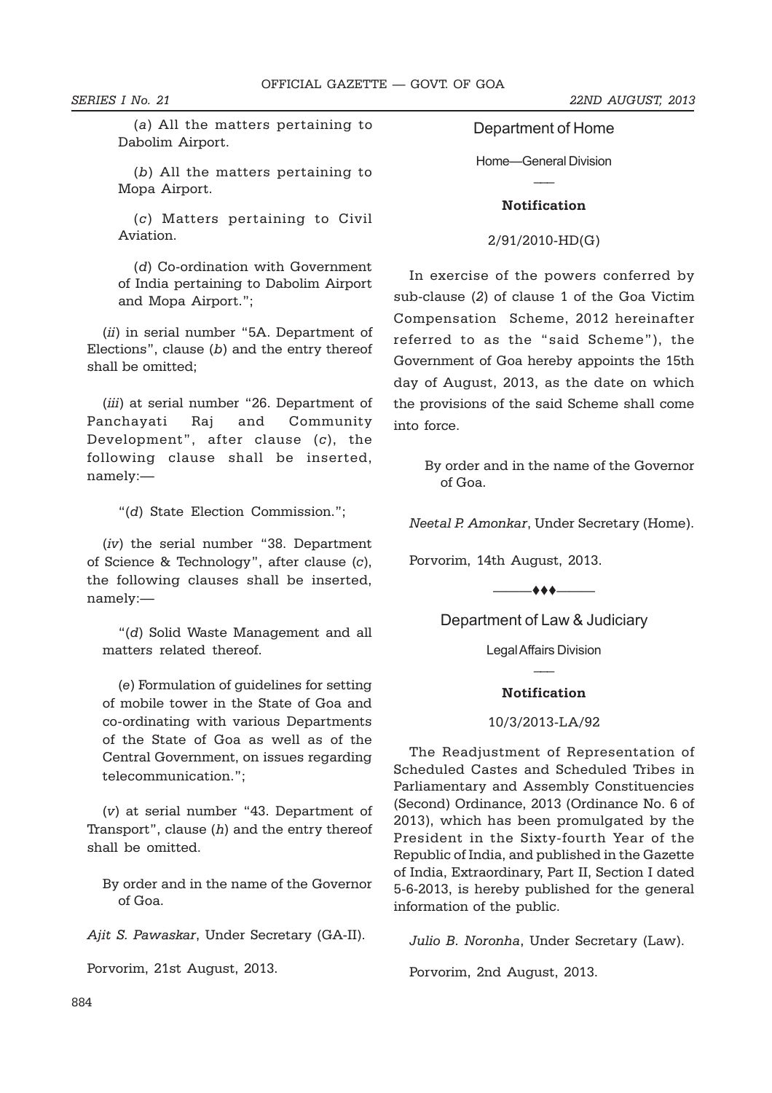*SERIES I No. 21 22ND AUGUST, 2013*

(*a*) All the matters pertaining to Dabolim Airport.

(*b*) All the matters pertaining to Mopa Airport.

(*c*) Matters pertaining to Civil Aviation.

(*d*) Co-ordination with Government of India pertaining to Dabolim Airport and Mopa Airport.";

(*ii*) in serial number "5A. Department of Elections", clause (*b*) and the entry thereof shall be omitted;

(*iii*) at serial number "26. Department of Panchayati Raj and Community Development", after clause (*c*), the following clause shall be inserted, namely:—

"(*d*) State Election Commission.";

(*iv*) the serial number "38. Department of Science & Technology", after clause (*c*), the following clauses shall be inserted, namely:—

"(*d*) Solid Waste Management and all matters related thereof.

(*e*) Formulation of guidelines for setting of mobile tower in the State of Goa and co-ordinating with various Departments of the State of Goa as well as of the Central Government, on issues regarding telecommunication.";

(*v*) at serial number "43. Department of Transport", clause (*h*) and the entry thereof shall be omitted.

By order and in the name of the Governor of Goa.

*Ajit S. Pawaskar*, Under Secretary (GA-II).

Porvorim, 21st August, 2013.

Department of Home

Home—General Division  $\overline{\phantom{a}}$ 

#### **Notification**

#### 2/91/2010-HD(G)

In exercise of the powers conferred by sub-clause (*2*) of clause 1 of the Goa Victim Compensation Scheme, 2012 hereinafter referred to as the "said Scheme"), the Government of Goa hereby appoints the 15th day of August, 2013, as the date on which the provisions of the said Scheme shall come into force.

> By order and in the name of the Governor of Goa.

*Neetal P. Amonkar*, Under Secretary (Home).

Porvorim, 14th August, 2013.

 $\longrightarrow$ 

Department of Law & Judiciary

Legal Affairs Division  $\overline{\phantom{a}}$ 

#### **Notification**

#### 10/3/2013-LA/92

The Readjustment of Representation of Scheduled Castes and Scheduled Tribes in Parliamentary and Assembly Constituencies (Second) Ordinance, 2013 (Ordinance No. 6 of 2013), which has been promulgated by the President in the Sixty-fourth Year of the Republic of India, and published in the Gazette of India, Extraordinary, Part II, Section I dated 5-6-2013, is hereby published for the general information of the public.

*Julio B. Noronha*, Under Secretary (Law).

Porvorim, 2nd August, 2013.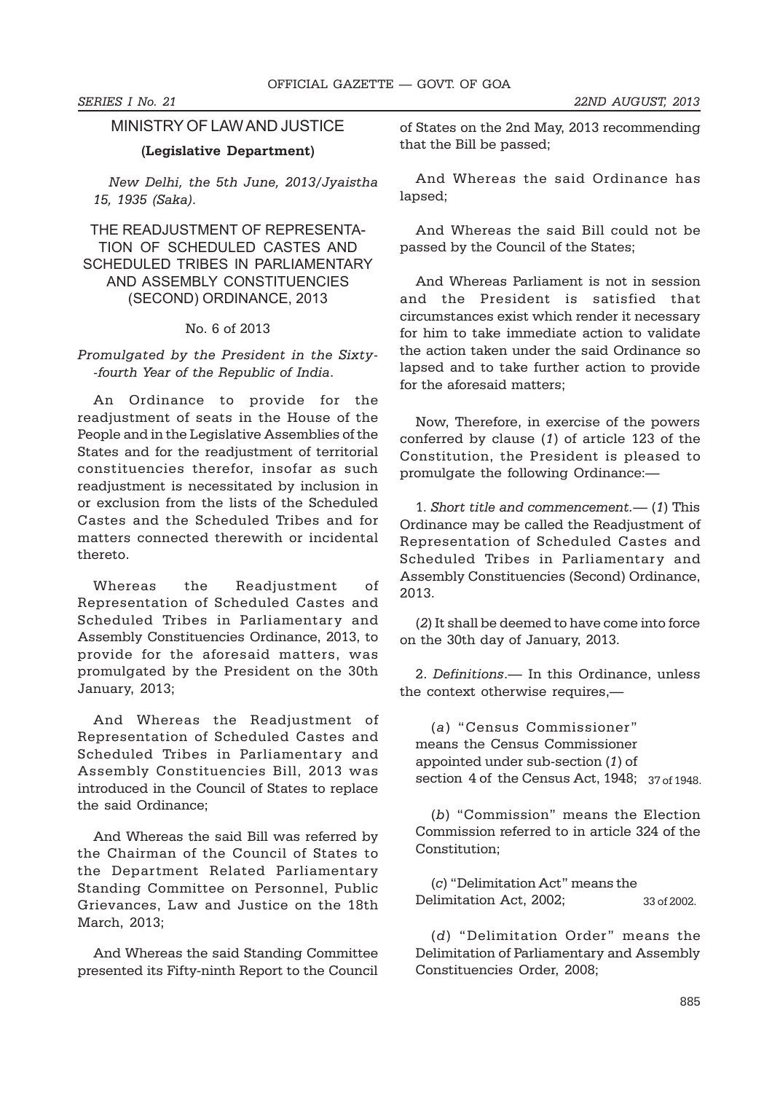## MINISTRY OF LAW AND JUSTICE

#### **(Legislative Department)**

*New Delhi, the 5th June, 2013/Jyaistha 15, 1935 (Saka).*

THE READJUSTMENT OF REPRESENTA-TION OF SCHEDULED CASTES AND SCHEDULED TRIBES IN PARLIAMENTARY AND ASSEMBLY CONSTITUENCIES (SECOND) ORDINANCE, 2013

#### No. 6 of 2013

*Promulgated by the President in the Sixty- -fourth Year of the Republic of India*.

An Ordinance to provide for the readjustment of seats in the House of the People and in the Legislative Assemblies of the States and for the readjustment of territorial constituencies therefor, insofar as such readjustment is necessitated by inclusion in or exclusion from the lists of the Scheduled Castes and the Scheduled Tribes and for matters connected therewith or incidental thereto.

Whereas the Readjustment of Representation of Scheduled Castes and Scheduled Tribes in Parliamentary and Assembly Constituencies Ordinance, 2013, to provide for the aforesaid matters, was promulgated by the President on the 30th January, 2013;

And Whereas the Readjustment of Representation of Scheduled Castes and Scheduled Tribes in Parliamentary and Assembly Constituencies Bill, 2013 was introduced in the Council of States to replace the said Ordinance;

And Whereas the said Bill was referred by the Chairman of the Council of States to the Department Related Parliamentary Standing Committee on Personnel, Public Grievances, Law and Justice on the 18th March, 2013;

And Whereas the said Standing Committee presented its Fifty-ninth Report to the Council

of States on the 2nd May, 2013 recommending that the Bill be passed;

And Whereas the said Ordinance has lapsed;

And Whereas the said Bill could not be passed by the Council of the States;

And Whereas Parliament is not in session and the President is satisfied that circumstances exist which render it necessary for him to take immediate action to validate the action taken under the said Ordinance so lapsed and to take further action to provide for the aforesaid matters;

Now, Therefore, in exercise of the powers conferred by clause (*1*) of article 123 of the Constitution, the President is pleased to promulgate the following Ordinance:—

1. *Short title and commencement.*— (*1*) This Ordinance may be called the Readjustment of Representation of Scheduled Castes and Scheduled Tribes in Parliamentary and Assembly Constituencies (Second) Ordinance, 2013.

(*2*) It shall be deemed to have come into force on the 30th day of January, 2013.

2. *Definitions*.— In this Ordinance, unless the context otherwise requires,—

(*a*) "Census Commissioner" means the Census Commissioner appointed under sub-section (*1*) of section 4 of the Census Act, 1948; 37 of 1948.

(*b*) "Commission" means the Election Commission referred to in article 324 of the Constitution;

(*c*) "Delimitation Act" means the Delimitation Act, 2002; 33 of 2002.

(*d*) "Delimitation Order" means the Delimitation of Parliamentary and Assembly Constituencies Order, 2008;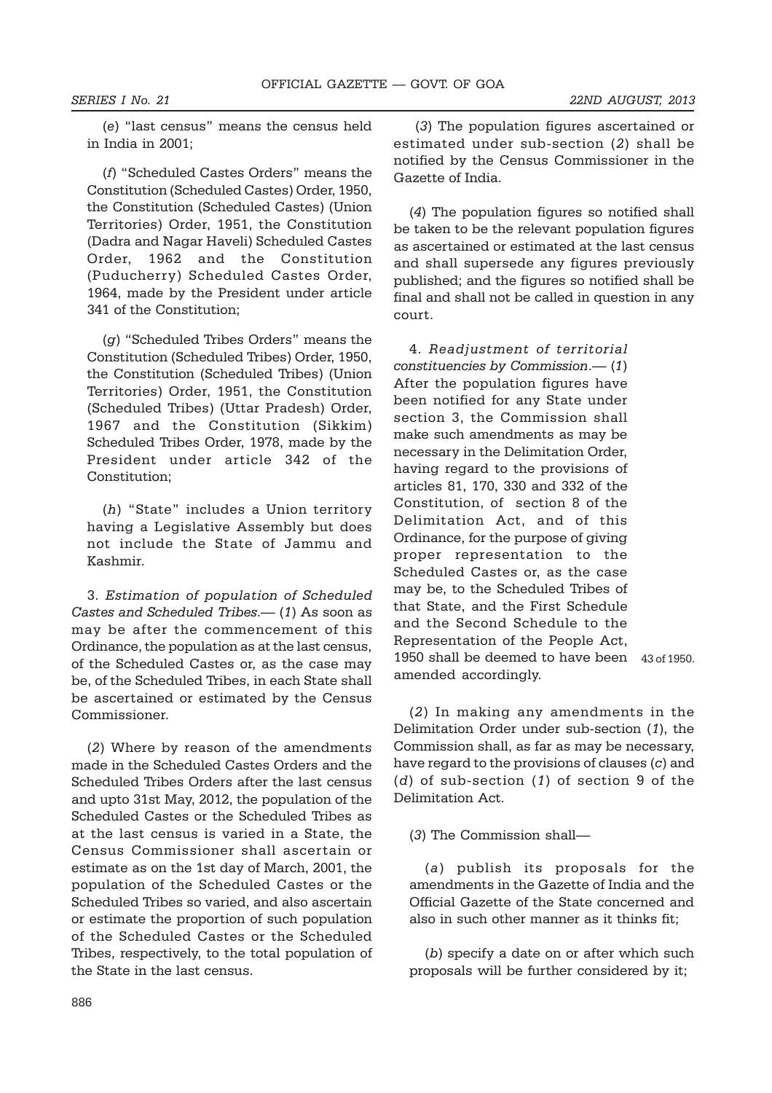(*e*) "last census" means the census held in India in 2001;

(*f*) "Scheduled Castes Orders" means the Constitution (Scheduled Castes) Order, 1950, the Constitution (Scheduled Castes) (Union Territories) Order, 1951, the Constitution (Dadra and Nagar Haveli) Scheduled Castes Order, 1962 and the Constitution (Puducherry) Scheduled Castes Order, 1964, made by the President under article 341 of the Constitution;

(*g*) "Scheduled Tribes Orders" means the Constitution (Scheduled Tribes) Order, 1950, the Constitution (Scheduled Tribes) (Union Territories) Order, 1951, the Constitution (Scheduled Tribes) (Uttar Pradesh) Order, 1967 and the Constitution (Sikkim) Scheduled Tribes Order, 1978, made by the President under article 342 of the Constitution;

(*h*) "State" includes a Union territory having a Legislative Assembly but does not include the State of Jammu and Kashmir.

3. *Estimation of population of Scheduled Castes and Scheduled Tribes*.— (*1*) As soon as may be after the commencement of this Ordinance, the population as at the last census, of the Scheduled Castes or, as the case may be, of the Scheduled Tribes, in each State shall be ascertained or estimated by the Census Commissioner.

(*2*) Where by reason of the amendments made in the Scheduled Castes Orders and the Scheduled Tribes Orders after the last census and upto 31st May, 2012, the population of the Scheduled Castes or the Scheduled Tribes as at the last census is varied in a State, the Census Commissioner shall ascertain or estimate as on the 1st day of March, 2001, the population of the Scheduled Castes or the Scheduled Tribes so varied, and also ascertain or estimate the proportion of such population of the Scheduled Castes or the Scheduled Tribes, respectively, to the total population of the State in the last census.

 (*3*) The population figures ascertained or estimated under sub-section (*2*) shall be notified by the Census Commissioner in the Gazette of India.

(*4*) The population figures so notified shall be taken to be the relevant population figures as ascertained or estimated at the last census and shall supersede any figures previously published; and the figures so notified shall be final and shall not be called in question in any court.

4. *Readjustment of territorial constituencies by Commission*.— (*1*) After the population figures have been notified for any State under section 3, the Commission shall make such amendments as may be necessary in the Delimitation Order, having regard to the provisions of articles 81, 170, 330 and 332 of the Constitution, of section 8 of the Delimitation Act, and of this Ordinance, for the purpose of giving proper representation to the Scheduled Castes or, as the case may be, to the Scheduled Tribes of that State, and the First Schedule and the Second Schedule to the Representation of the People Act, 1950 shall be deemed to have been 43 of 1950.amended accordingly.

(*2*) In making any amendments in the Delimitation Order under sub-section (*1*), the Commission shall, as far as may be necessary, have regard to the provisions of clauses (*c*) and (*d*) of sub-section (*1*) of section 9 of the Delimitation Act.

(*3*) The Commission shall—

(*a*) publish its proposals for the amendments in the Gazette of India and the Official Gazette of the State concerned and also in such other manner as it thinks fit;

(*b*) specify a date on or after which such proposals will be further considered by it;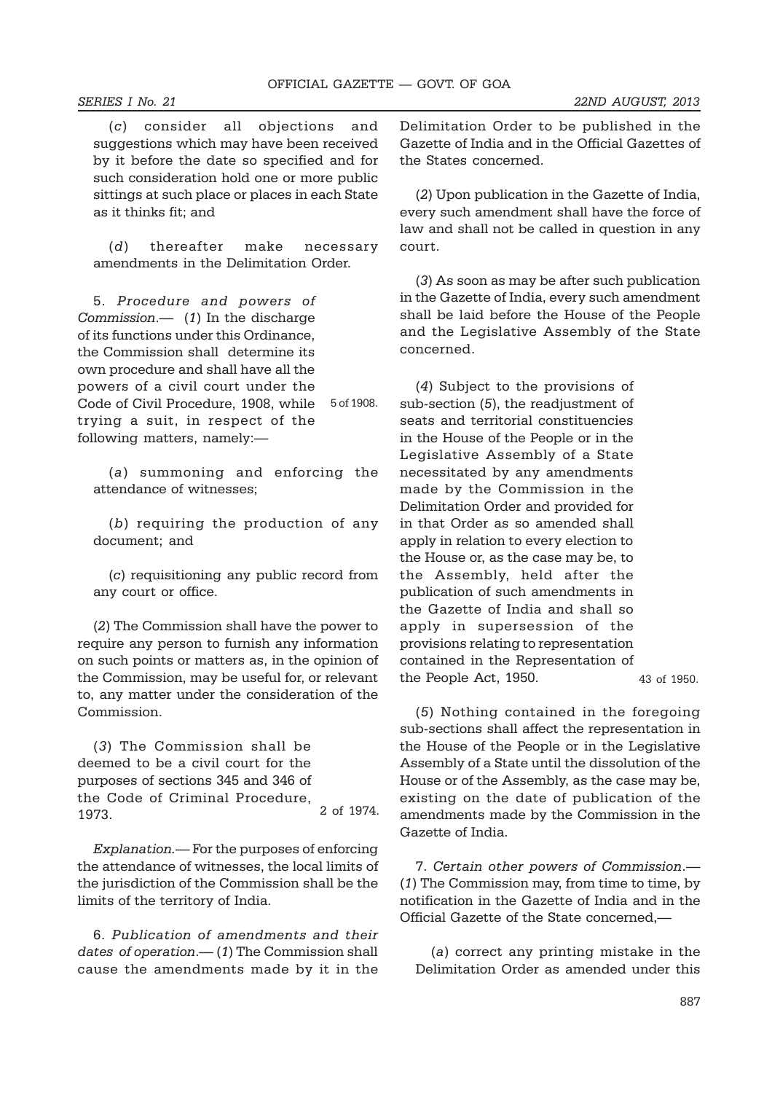(*c*) consider all objections and suggestions which may have been received by it before the date so specified and for such consideration hold one or more public sittings at such place or places in each State as it thinks fit; and

(*d*) thereafter make necessary amendments in the Delimitation Order.

5. *Procedure and powers of Commission*.— (*1*) In the discharge of its functions under this Ordinance, the Commission shall determine its own procedure and shall have all the powers of a civil court under the Code of Civil Procedure, 1908, while trying a suit, in respect of the following matters, namely:— 5 of 1908.

(*a*) summoning and enforcing the attendance of witnesses;

(*b*) requiring the production of any document; and

(*c*) requisitioning any public record from any court or office.

(*2*) The Commission shall have the power to require any person to furnish any information on such points or matters as, in the opinion of the Commission, may be useful for, or relevant to, any matter under the consideration of the Commission.

(*3*) The Commission shall be deemed to be a civil court for the purposes of sections 345 and 346 of the Code of Criminal Procedure, 1973. 2 of 1974.

*Explanation.—* For the purposes of enforcing the attendance of witnesses, the local limits of the jurisdiction of the Commission shall be the limits of the territory of India.

6. *Publication of amendments and their dates of operation*.— (*1*) The Commission shall cause the amendments made by it in the

Delimitation Order to be published in the Gazette of India and in the Official Gazettes of the States concerned.

(*2*) Upon publication in the Gazette of India, every such amendment shall have the force of law and shall not be called in question in any court.

(*3*) As soon as may be after such publication in the Gazette of India, every such amendment shall be laid before the House of the People and the Legislative Assembly of the State concerned.

(*4*) Subject to the provisions of sub-section (*5*), the readjustment of seats and territorial constituencies in the House of the People or in the Legislative Assembly of a State necessitated by any amendments made by the Commission in the Delimitation Order and provided for in that Order as so amended shall apply in relation to every election to the House or, as the case may be, to the Assembly, held after the publication of such amendments in the Gazette of India and shall so apply in supersession of the provisions relating to representation contained in the Representation of the People Act, 1950.

43 of 1950.

(*5*) Nothing contained in the foregoing sub-sections shall affect the representation in the House of the People or in the Legislative Assembly of a State until the dissolution of the House or of the Assembly, as the case may be, existing on the date of publication of the amendments made by the Commission in the Gazette of India.

7. *Certain other powers of Commission*.— (*1*) The Commission may, from time to time, by notification in the Gazette of India and in the Official Gazette of the State concerned,—

(*a*) correct any printing mistake in the Delimitation Order as amended under this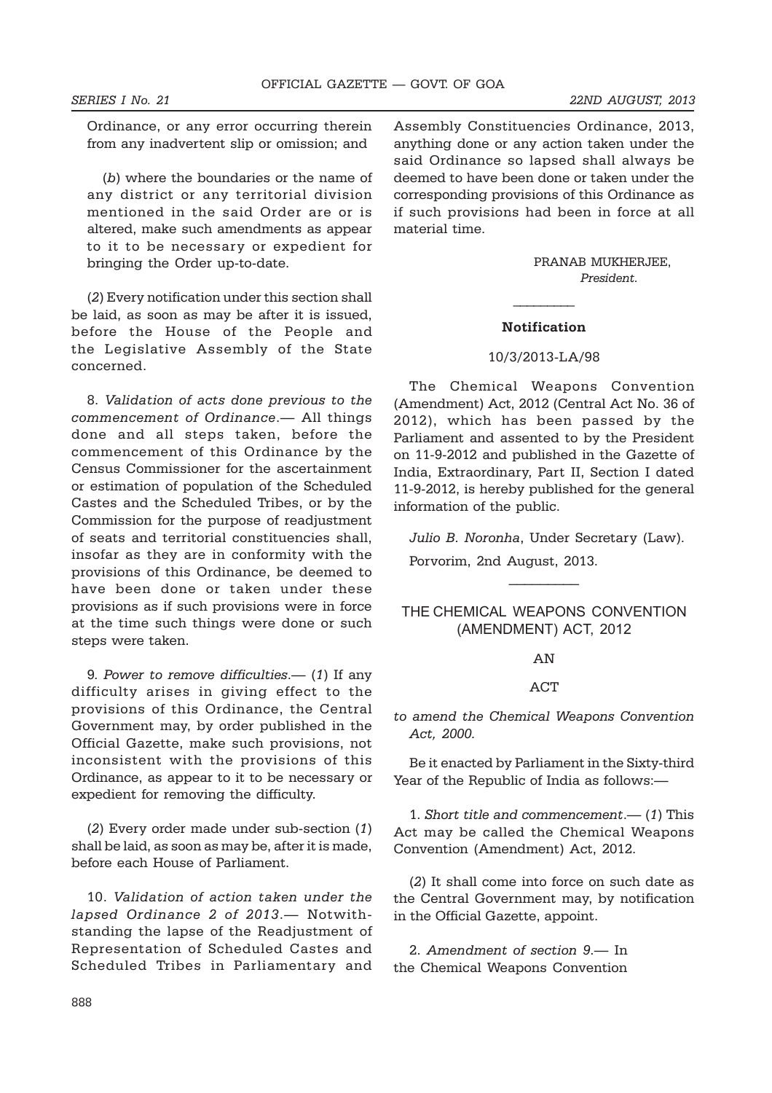Ordinance, or any error occurring therein from any inadvertent slip or omission; and

(*b*) where the boundaries or the name of any district or any territorial division mentioned in the said Order are or is altered, make such amendments as appear to it to be necessary or expedient for bringing the Order up-to-date.

(*2*) Every notification under this section shall be laid, as soon as may be after it is issued, before the House of the People and the Legislative Assembly of the State concerned.

8. *Validation of acts done previous to the commencement of Ordinance*.— All things done and all steps taken, before the commencement of this Ordinance by the Census Commissioner for the ascertainment or estimation of population of the Scheduled Castes and the Scheduled Tribes, or by the Commission for the purpose of readjustment of seats and territorial constituencies shall, insofar as they are in conformity with the provisions of this Ordinance, be deemed to have been done or taken under these provisions as if such provisions were in force at the time such things were done or such steps were taken.

9*. Power to remove difficulties*.— (*1*) If any difficulty arises in giving effect to the provisions of this Ordinance, the Central Government may, by order published in the Official Gazette, make such provisions, not inconsistent with the provisions of this Ordinance, as appear to it to be necessary or expedient for removing the difficulty.

(*2*) Every order made under sub-section (*1*) shall be laid, as soon as may be, after it is made, before each House of Parliament.

10. *Validation of action taken under the lapsed Ordinance 2 of 2013*.— Notwithstanding the lapse of the Readjustment of Representation of Scheduled Castes and Scheduled Tribes in Parliamentary and Assembly Constituencies Ordinance, 2013, anything done or any action taken under the said Ordinance so lapsed shall always be deemed to have been done or taken under the corresponding provisions of this Ordinance as if such provisions had been in force at all material time.

> PRANAB MUKHERJEE, *President.*

# $\frac{1}{2}$ **Notification**

#### 10/3/2013-LA/98

The Chemical Weapons Convention (Amendment) Act, 2012 (Central Act No. 36 of 2012), which has been passed by the Parliament and assented to by the President on 11-9-2012 and published in the Gazette of India, Extraordinary, Part II, Section I dated 11-9-2012, is hereby published for the general information of the public.

*Julio B. Noronha*, Under Secretary (Law). Porvorim, 2nd August, 2013.

THE CHEMICAL WEAPONS CONVENTION (AMENDMENT) ACT, 2012

#### AN

#### ACT

*to amend the Chemical Weapons Convention Act, 2000.*

Be it enacted by Parliament in the Sixty-third Year of the Republic of India as follows:—

1. *Short title and commencement*.— (*1*) This Act may be called the Chemical Weapons Convention (Amendment) Act, 2012.

(*2*) It shall come into force on such date as the Central Government may, by notification in the Official Gazette, appoint.

2. *Amendment of section 9*.— In the Chemical Weapons Convention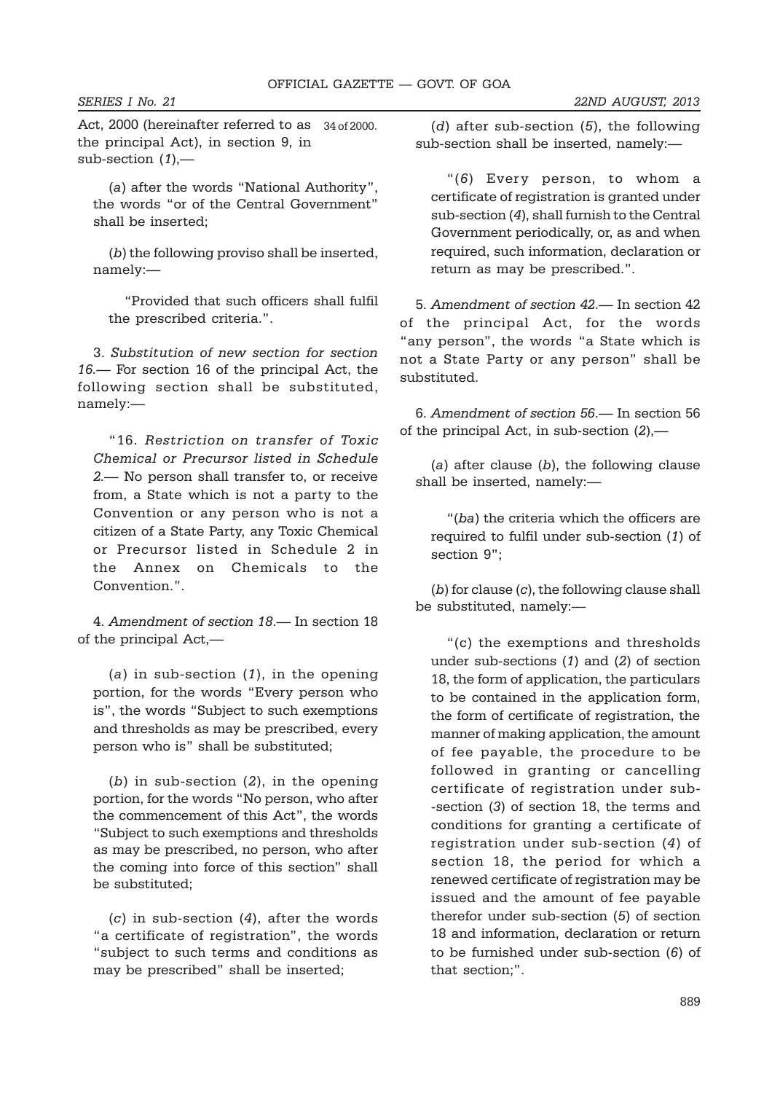Act, 2000 (hereinafter referred to as 34 of 2000.the principal Act), in section 9, in sub-section (*1*),—

(*a*) after the words "National Authority", the words "or of the Central Government" shall be inserted;

(*b*) the following proviso shall be inserted, namely:—

"Provided that such officers shall fulfil the prescribed criteria.".

3. *Substitution of new section for section 16.*— For section 16 of the principal Act, the following section shall be substituted, namely:—

"16. *Restriction on transfer of Toxic Chemical or Precursor listed in Schedule 2.*— No person shall transfer to, or receive from, a State which is not a party to the Convention or any person who is not a citizen of a State Party, any Toxic Chemical or Precursor listed in Schedule 2 in the Annex on Chemicals to the Convention.".

4. *Amendment of section 18*.— In section 18 of the principal Act,—

(*a*) in sub-section (*1*), in the opening portion, for the words "Every person who is", the words "Subject to such exemptions and thresholds as may be prescribed, every person who is" shall be substituted;

(*b*) in sub-section (*2*), in the opening portion, for the words "No person, who after the commencement of this Act", the words "Subject to such exemptions and thresholds as may be prescribed, no person, who after the coming into force of this section" shall be substituted;

(*c*) in sub-section (*4*), after the words "a certificate of registration", the words "subject to such terms and conditions as may be prescribed" shall be inserted;

(*d*) after sub-section (*5*), the following sub-section shall be inserted, namely:—

"(*6*) Every person, to whom a certificate of registration is granted under sub-section (*4*), shall furnish to the Central Government periodically, or, as and when required, such information, declaration or return as may be prescribed.".

5. *Amendment of section 42*.— In section 42 of the principal Act, for the words "any person", the words "a State which is not a State Party or any person" shall be substituted.

6. *Amendment of section 56*.— In section 56 of the principal Act, in sub-section (*2*),—

(*a*) after clause (*b*), the following clause shall be inserted, namely:—

"(*ba*) the criteria which the officers are required to fulfil under sub-section (*1*) of section 9";

(*b*) for clause (*c*), the following clause shall be substituted, namely:—

"(c) the exemptions and thresholds under sub-sections (*1*) and (*2*) of section 18, the form of application, the particulars to be contained in the application form, the form of certificate of registration, the manner of making application, the amount of fee payable, the procedure to be followed in granting or cancelling certificate of registration under sub- -section (*3*) of section 18, the terms and conditions for granting a certificate of registration under sub-section (*4*) of section 18, the period for which a renewed certificate of registration may be issued and the amount of fee payable therefor under sub-section (*5*) of section 18 and information, declaration or return to be furnished under sub-section (*6*) of that section;".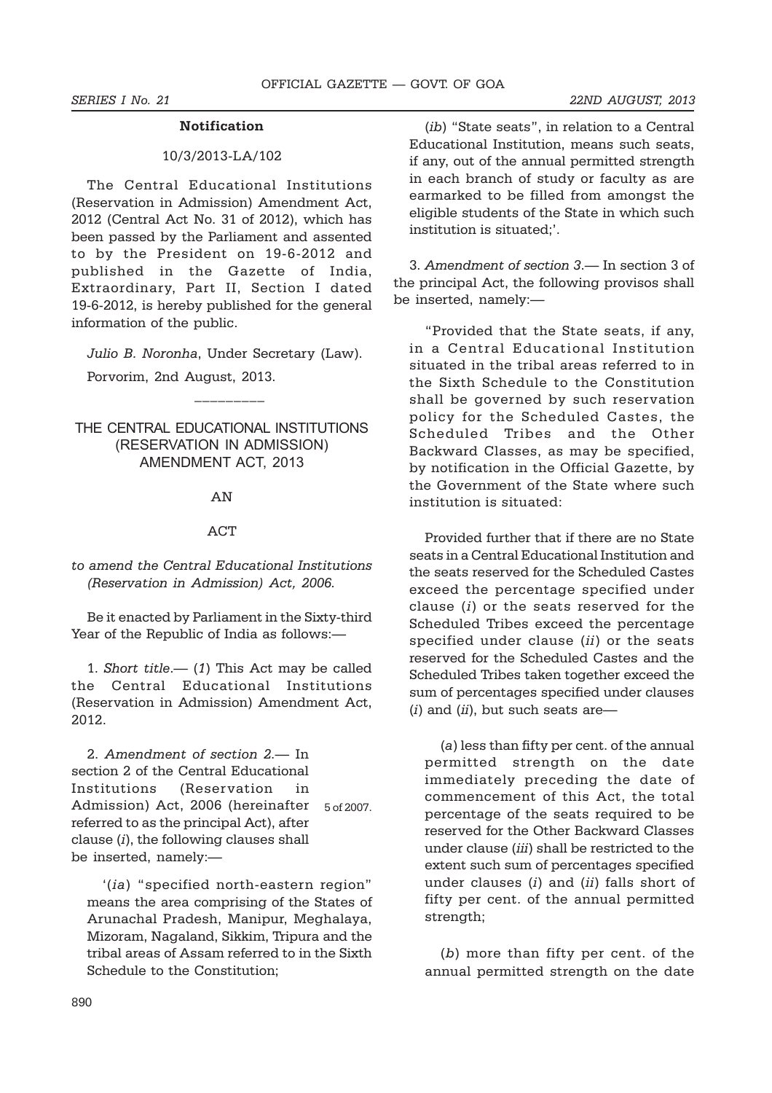#### **Notification**

#### 10/3/2013-LA/102

The Central Educational Institutions (Reservation in Admission) Amendment Act, 2012 (Central Act No. 31 of 2012), which has been passed by the Parliament and assented to by the President on 19-6-2012 and published in the Gazette of India, Extraordinary, Part II, Section I dated 19-6-2012, is hereby published for the general information of the public.

*Julio B. Noronha*, Under Secretary (Law).

 $\mathcal{L}_\text{max}$ 

Porvorim, 2nd August, 2013.

THE CENTRAL EDUCATIONAL INSTITUTIONS (RESERVATION IN ADMISSION) AMENDMENT ACT, 2013

#### **AN**

#### ACT

*to amend the Central Educational Institutions (Reservation in Admission) Act, 2006.*

Be it enacted by Parliament in the Sixty-third Year of the Republic of India as follows:—

1. *Short title*.— (*1*) This Act may be called the Central Educational Institutions (Reservation in Admission) Amendment Act, 2012.

2. *Amendment of section 2*.— In section 2 of the Central Educational Institutions (Reservation in Admission) Act, 2006 (hereinafter 5 of 2007.referred to as the principal Act), after clause (*i*), the following clauses shall be inserted, namely:—

'(*ia*) "specified north-eastern region" means the area comprising of the States of Arunachal Pradesh, Manipur, Meghalaya, Mizoram, Nagaland, Sikkim, Tripura and the tribal areas of Assam referred to in the Sixth Schedule to the Constitution;

(*ib*) "State seats", in relation to a Central Educational Institution, means such seats, if any, out of the annual permitted strength in each branch of study or faculty as are earmarked to be filled from amongst the eligible students of the State in which such institution is situated;'.

3. *Amendment of section 3*.— In section 3 of the principal Act, the following provisos shall be inserted, namely:—

"Provided that the State seats, if any, in a Central Educational Institution situated in the tribal areas referred to in the Sixth Schedule to the Constitution shall be governed by such reservation policy for the Scheduled Castes, the Scheduled Tribes and the Other Backward Classes, as may be specified, by notification in the Official Gazette, by the Government of the State where such institution is situated:

Provided further that if there are no State seats in a Central Educational Institution and the seats reserved for the Scheduled Castes exceed the percentage specified under clause (*i*) or the seats reserved for the Scheduled Tribes exceed the percentage specified under clause (*ii*) or the seats reserved for the Scheduled Castes and the Scheduled Tribes taken together exceed the sum of percentages specified under clauses (*i*) and (*ii*), but such seats are—

(*a*) less than fifty per cent. of the annual permitted strength on the date immediately preceding the date of commencement of this Act, the total percentage of the seats required to be reserved for the Other Backward Classes under clause (*iii*) shall be restricted to the extent such sum of percentages specified under clauses (*i*) and (*ii*) falls short of fifty per cent. of the annual permitted strength;

(*b*) more than fifty per cent. of the annual permitted strength on the date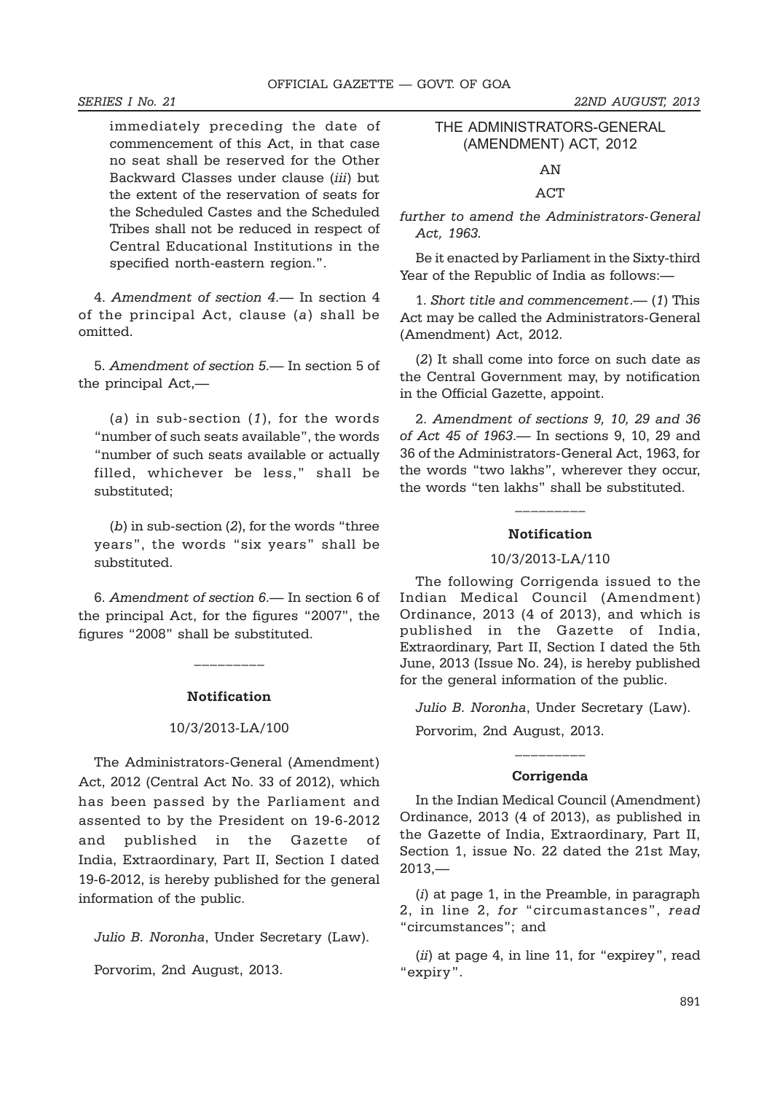immediately preceding the date of commencement of this Act, in that case no seat shall be reserved for the Other Backward Classes under clause (*iii*) but the extent of the reservation of seats for the Scheduled Castes and the Scheduled Tribes shall not be reduced in respect of Central Educational Institutions in the specified north-eastern region.".

4. *Amendment of section 4*.— In section 4 of the principal Act, clause (*a*) shall be omitted.

5. *Amendment of section 5*.— In section 5 of the principal Act,—

(*a*) in sub-section (*1*), for the words "number of such seats available", the words "number of such seats available or actually filled, whichever be less," shall be substituted;

(*b*) in sub-section (*2*), for the words "three years", the words "six years" shall be substituted.

6. *Amendment of section 6*.— In section 6 of the principal Act, for the figures "2007", the figures "2008" shall be substituted.

#### **Notification**

 $\mathcal{L}_\text{max}$ 

#### 10/3/2013-LA/100

The Administrators-General (Amendment) Act, 2012 (Central Act No. 33 of 2012), which has been passed by the Parliament and assented to by the President on 19-6-2012 and published in the Gazette of India, Extraordinary, Part II, Section I dated 19-6-2012, is hereby published for the general information of the public.

*Julio B. Noronha*, Under Secretary (Law).

Porvorim, 2nd August, 2013.

#### THE ADMINISTRATORS-GENERAL (AMENDMENT) ACT, 2012

AN

#### **ACT**

*further to amend the Administrators-General Act, 1963.*

Be it enacted by Parliament in the Sixty-third Year of the Republic of India as follows:—

1. *Short title and commencement*.— (*1*) This Act may be called the Administrators-General (Amendment) Act, 2012.

(*2*) It shall come into force on such date as the Central Government may, by notification in the Official Gazette, appoint.

2. *Amendment of sections 9, 10, 29 and 36 of Act 45 of 1963*.— In sections 9, 10, 29 and 36 of the Administrators-General Act, 1963, for the words "two lakhs", wherever they occur, the words "ten lakhs" shall be substituted.

#### **Notification**

\_\_\_\_\_\_\_\_\_

#### 10/3/2013-LA/110

The following Corrigenda issued to the Indian Medical Council (Amendment) Ordinance, 2013 (4 of 2013), and which is published in the Gazette of India, Extraordinary, Part II, Section I dated the 5th June, 2013 (Issue No. 24), is hereby published for the general information of the public.

*Julio B. Noronha*, Under Secretary (Law).

Porvorim, 2nd August, 2013.

#### **Corrigenda**

\_\_\_\_\_\_\_\_\_

In the Indian Medical Council (Amendment) Ordinance, 2013 (4 of 2013), as published in the Gazette of India, Extraordinary, Part II, Section 1, issue No. 22 dated the 21st May,  $2013, -$ 

(*i*) at page 1, in the Preamble, in paragraph 2, in line 2, *for* "circumastances", *read* "circumstances"; and

(*ii*) at page 4, in line 11, for "expirey", read "expiry".